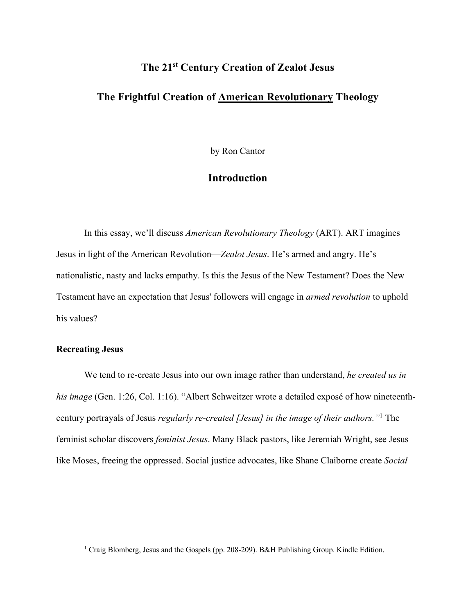# **The 21st Century Creation of Zealot Jesus**

### **The Frightful Creation of American Revolutionary Theology**

by Ron Cantor

## **Introduction**

In this essay, we'll discuss *American Revolutionary Theology* (ART). ART imagines Jesus in light of the American Revolution—*Zealot Jesus*. He's armed and angry. He's nationalistic, nasty and lacks empathy. Is this the Jesus of the New Testament? Does the New Testament have an expectation that Jesus' followers will engage in *armed revolution* to uphold his values?

#### **Recreating Jesus**

We tend to re-create Jesus into our own image rather than understand, *he created us in his image* (Gen. 1:26, Col. 1:16). "Albert Schweitzer wrote a detailed exposé of how nineteenthcentury portrayals of Jesus *regularly re-created [Jesus] in the image of their authors."*<sup>1</sup> The feminist scholar discovers *feminist Jesus*. Many Black pastors, like Jeremiah Wright, see Jesus like Moses, freeing the oppressed. Social justice advocates, like Shane Claiborne create *Social* 

<sup>&</sup>lt;sup>1</sup> Craig Blomberg, Jesus and the Gospels (pp. 208-209). B&H Publishing Group. Kindle Edition.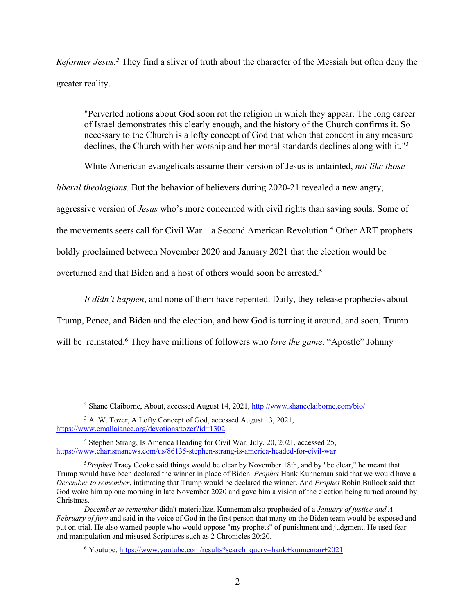*Reformer Jesus.2* They find a sliver of truth about the character of the Messiah but often deny the greater reality.

"Perverted notions about God soon rot the religion in which they appear. The long career of Israel demonstrates this clearly enough, and the history of the Church confirms it. So necessary to the Church is a lofty concept of God that when that concept in any measure declines, the Church with her worship and her moral standards declines along with it."<sup>3</sup>

White American evangelicals assume their version of Jesus is untainted, *not like those* 

*liberal theologians.* But the behavior of believers during 2020-21 revealed a new angry,

aggressive version of *Jesus* who's more concerned with civil rights than saving souls. Some of

the movements seers call for Civil War—a Second American Revolution.<sup>4</sup> Other ART prophets

boldly proclaimed between November 2020 and January 2021 that the election would be

overturned and that Biden and a host of others would soon be arrested.<sup>5</sup>

*It didn't happen*, and none of them have repented. Daily, they release prophecies about Trump, Pence, and Biden and the election, and how God is turning it around, and soon, Trump will be reinstated.<sup>6</sup> They have millions of followers who *love the game*. "Apostle" Johnny

<sup>2</sup> Shane Claiborne, About, accessed August 14, 2021, http://www.shaneclaiborne.com/bio/

<sup>3</sup> A. W. Tozer, A Lofty Concept of God, accessed August 13, 2021, https://www.cmallaiance.org/devotions/tozer?id=1302

<sup>4</sup> Stephen Strang, Is America Heading for Civil War, July, 20, 2021, accessed 25, https://www.charismanews.com/us/86135-stephen-strang-is-america-headed-for-civil-war

<sup>5</sup> *Prophet* Tracy Cooke said things would be clear by November 18th, and by "be clear," he meant that Trump would have been declared the winner in place of Biden. *Prophet* Hank Kunneman said that we would have a *December to remember*, intimating that Trump would be declared the winner. And *Prophet* Robin Bullock said that God woke him up one morning in late November 2020 and gave him a vision of the election being turned around by Christmas.

*December to remember* didn't materialize. Kunneman also prophesied of a *January of justice and A February of fury* and said in the voice of God in the first person that many on the Biden team would be exposed and put on trial. He also warned people who would oppose "my prophets" of punishment and judgment. He used fear and manipulation and misused Scriptures such as 2 Chronicles 20:20.

<sup>6</sup> Youtube, https://www.youtube.com/results?search\_query=hank+kunneman+2021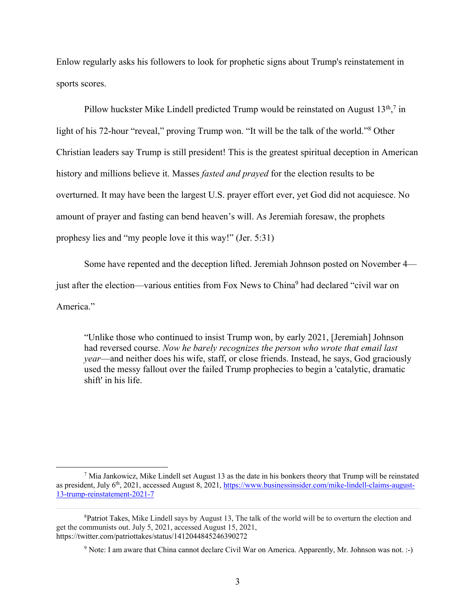Enlow regularly asks his followers to look for prophetic signs about Trump's reinstatement in sports scores.

Pillow huckster Mike Lindell predicted Trump would be reinstated on August  $13<sup>th</sup>$ ,<sup>7</sup> in light of his 72-hour "reveal," proving Trump won. "It will be the talk of the world."<sup>8</sup> Other Christian leaders say Trump is still president! This is the greatest spiritual deception in American history and millions believe it. Masses *fasted and prayed* for the election results to be overturned. It may have been the largest U.S. prayer effort ever, yet God did not acquiesce. No amount of prayer and fasting can bend heaven's will. As Jeremiah foresaw, the prophets prophesy lies and "my people love it this way!" (Jer. 5:31)

Some have repented and the deception lifted. Jeremiah Johnson posted on November 4 just after the election—various entities from Fox News to China<sup>9</sup> had declared "civil war on America."

"Unlike those who continued to insist Trump won, by early 2021, [Jeremiah] Johnson had reversed course. *Now he barely recognizes the person who wrote that email last year*—and neither does his wife, staff, or close friends. Instead, he says, God graciously used the messy fallout over the failed Trump prophecies to begin a 'catalytic, dramatic shift' in his life.

 $<sup>7</sup>$  Mia Jankowicz, Mike Lindell set August 13 as the date in his bonkers theory that Trump will be reinstated</sup> as president, July  $6<sup>th</sup>$ , 2021, accessed August 8, 2021, https://www.businessinsider.com/mike-lindell-claims-august-13-trump-reinstatement-2021-7

<sup>&</sup>lt;sup>8</sup>Patriot Takes, Mike Lindell says by August 13, The talk of the world will be to overturn the election and get the communists out. July 5, 2021, accessed August 15, 2021, https://twitter.com/patriottakes/status/1412044845246390272

<sup>&</sup>lt;sup>9</sup> Note: I am aware that China cannot declare Civil War on America. Apparently, Mr. Johnson was not. :-)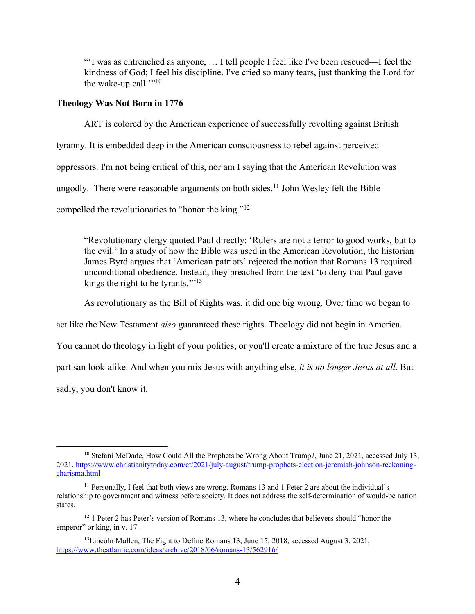"'I was as entrenched as anyone, … I tell people I feel like I've been rescued—I feel the kindness of God; I feel his discipline. I've cried so many tears, just thanking the Lord for the wake-up call." $10$ 

#### **Theology Was Not Born in 1776**

ART is colored by the American experience of successfully revolting against British tyranny. It is embedded deep in the American consciousness to rebel against perceived oppressors. I'm not being critical of this, nor am I saying that the American Revolution was ungodly. There were reasonable arguments on both sides.<sup>11</sup> John Wesley felt the Bible compelled the revolutionaries to "honor the king."12

"Revolutionary clergy quoted Paul directly: 'Rulers are not a terror to good works, but to the evil.' In a study of how the Bible was used in the American Revolution, the historian James Byrd argues that 'American patriots' rejected the notion that Romans 13 required unconditional obedience. Instead, they preached from the text 'to deny that Paul gave kings the right to be tyrants."<sup>13</sup>

As revolutionary as the Bill of Rights was, it did one big wrong. Over time we began to

act like the New Testament *also* guaranteed these rights. Theology did not begin in America.

You cannot do theology in light of your politics, or you'll create a mixture of the true Jesus and a

partisan look-alike. And when you mix Jesus with anything else, *it is no longer Jesus at all*. But

sadly, you don't know it.

<sup>&</sup>lt;sup>10</sup> Stefani McDade, How Could All the Prophets be Wrong About Trump?, June 21, 2021, accessed July 13, 2021, https://www.christianitytoday.com/ct/2021/july-august/trump-prophets-election-jeremiah-johnson-reckoningcharisma.html

<sup>&</sup>lt;sup>11</sup> Personally, I feel that both views are wrong. Romans 13 and 1 Peter 2 are about the individual's relationship to government and witness before society. It does not address the self-determination of would-be nation states.

<sup>&</sup>lt;sup>12</sup> 1 Peter 2 has Peter's version of Romans 13, where he concludes that believers should "honor the emperor" or king, in v. 17.

<sup>&</sup>lt;sup>13</sup>Lincoln Mullen, The Fight to Define Romans 13, June 15, 2018, accessed August 3, 2021, https://www.theatlantic.com/ideas/archive/2018/06/romans-13/562916/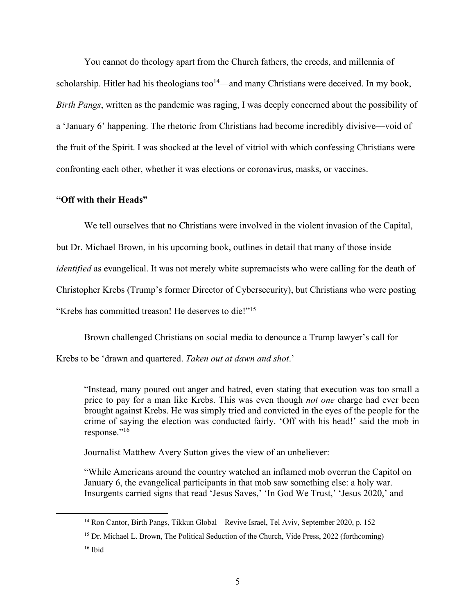You cannot do theology apart from the Church fathers, the creeds, and millennia of scholarship. Hitler had his theologians too<sup>14</sup>—and many Christians were deceived. In my book, *Birth Pangs*, written as the pandemic was raging, I was deeply concerned about the possibility of a 'January 6' happening. The rhetoric from Christians had become incredibly divisive—void of the fruit of the Spirit. I was shocked at the level of vitriol with which confessing Christians were confronting each other, whether it was elections or coronavirus, masks, or vaccines.

#### **"Off with their Heads"**

We tell ourselves that no Christians were involved in the violent invasion of the Capital,

but Dr. Michael Brown, in his upcoming book, outlines in detail that many of those inside

*identified* as evangelical. It was not merely white supremacists who were calling for the death of

Christopher Krebs (Trump's former Director of Cybersecurity), but Christians who were posting

"Krebs has committed treason! He deserves to die!"<sup>15</sup>

Brown challenged Christians on social media to denounce a Trump lawyer's call for

Krebs to be 'drawn and quartered. *Taken out at dawn and shot*.'

"Instead, many poured out anger and hatred, even stating that execution was too small a price to pay for a man like Krebs. This was even though *not one* charge had ever been brought against Krebs. He was simply tried and convicted in the eyes of the people for the crime of saying the election was conducted fairly. 'Off with his head!' said the mob in response."16

Journalist Matthew Avery Sutton gives the view of an unbeliever:

"While Americans around the country watched an inflamed mob overrun the Capitol on January 6, the evangelical participants in that mob saw something else: a holy war. Insurgents carried signs that read 'Jesus Saves,' 'In God We Trust,' 'Jesus 2020,' and

<sup>14</sup> Ron Cantor, Birth Pangs, Tikkun Global—Revive Israel, Tel Aviv, September 2020, p. 152

<sup>&</sup>lt;sup>15</sup> Dr. Michael L. Brown, The Political Seduction of the Church, Vide Press, 2022 (forthcoming)

 $16$  Ibid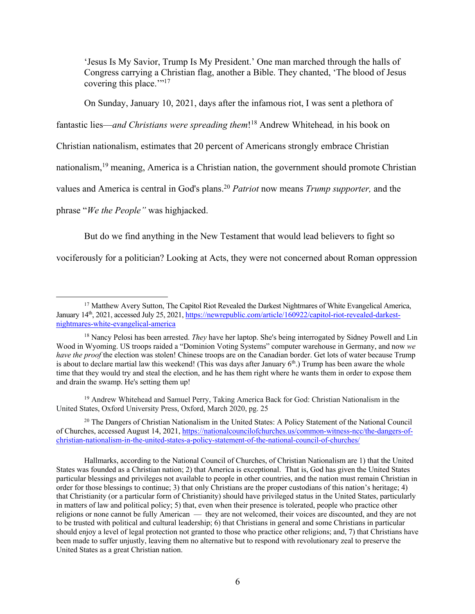'Jesus Is My Savior, Trump Is My President.' One man marched through the halls of Congress carrying a Christian flag, another a Bible. They chanted, 'The blood of Jesus covering this place."<sup>17</sup>

On Sunday, January 10, 2021, days after the infamous riot, I was sent a plethora of

fantastic lies—*and Christians were spreading them*! <sup>18</sup> Andrew Whitehead*,* in his book on

Christian nationalism, estimates that 20 percent of Americans strongly embrace Christian

nationalism,<sup>19</sup> meaning, America is a Christian nation, the government should promote Christian

values and America is central in God's plans.20 *Patriot* now means *Trump supporter,* and the

phrase "*We the People"* was highjacked.

But do we find anything in the New Testament that would lead believers to fight so

vociferously for a politician? Looking at Acts, they were not concerned about Roman oppression

<sup>19</sup> Andrew Whitehead and Samuel Perry, Taking America Back for God: Christian Nationalism in the United States, Oxford University Press, Oxford, March 2020, pg. 25

<sup>20</sup> The Dangers of Christian Nationalism in the United States: A Policy Statement of the National Council of Churches, accessed August 14, 2021, https://nationalcouncilofchurches.us/common-witness-ncc/the-dangers-ofchristian-nationalism-in-the-united-states-a-policy-statement-of-the-national-council-of-churches/

Hallmarks, according to the National Council of Churches, of Christian Nationalism are 1) that the United States was founded as a Christian nation; 2) that America is exceptional. That is, God has given the United States particular blessings and privileges not available to people in other countries, and the nation must remain Christian in order for those blessings to continue; 3) that only Christians are the proper custodians of this nation's heritage; 4) that Christianity (or a particular form of Christianity) should have privileged status in the United States, particularly in matters of law and political policy; 5) that, even when their presence is tolerated, people who practice other religions or none cannot be fully American — they are not welcomed, their voices are discounted, and they are not to be trusted with political and cultural leadership; 6) that Christians in general and some Christians in particular should enjoy a level of legal protection not granted to those who practice other religions; and, 7) that Christians have been made to suffer unjustly, leaving them no alternative but to respond with revolutionary zeal to preserve the United States as a great Christian nation.

<sup>&</sup>lt;sup>17</sup> Matthew Avery Sutton, The Capitol Riot Revealed the Darkest Nightmares of White Evangelical America, January 14th, 2021, accessed July 25, 2021, https://newrepublic.com/article/160922/capitol-riot-revealed-darkestnightmares-white-evangelical-america

<sup>&</sup>lt;sup>18</sup> Nancy Pelosi has been arrested. *They* have her laptop. She's being interrogated by Sidney Powell and Lin Wood in Wyoming. US troops raided a "Dominion Voting Systems" computer warehouse in Germany, and now *we have the proof* the election was stolen! Chinese troops are on the Canadian border. Get lots of water because Trump is about to declare martial law this weekend! (This was days after January  $6<sup>th</sup>$ .) Trump has been aware the whole time that they would try and steal the election, and he has them right where he wants them in order to expose them and drain the swamp. He's setting them up!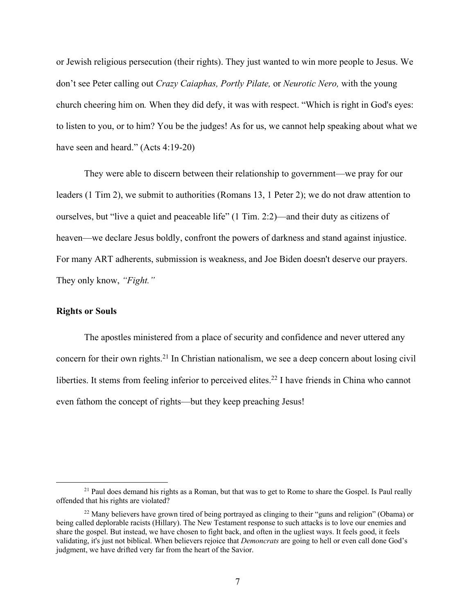or Jewish religious persecution (their rights). They just wanted to win more people to Jesus. We don't see Peter calling out *Crazy Caiaphas, Portly Pilate,* or *Neurotic Nero,* with the young church cheering him on*.* When they did defy, it was with respect. "Which is right in God's eyes: to listen to you, or to him? You be the judges! As for us, we cannot help speaking about what we have seen and heard." (Acts 4:19-20)

They were able to discern between their relationship to government—we pray for our leaders (1 Tim 2), we submit to authorities (Romans 13, 1 Peter 2); we do not draw attention to ourselves, but "live a quiet and peaceable life" (1 Tim. 2:2)—and their duty as citizens of heaven—we declare Jesus boldly, confront the powers of darkness and stand against injustice. For many ART adherents, submission is weakness, and Joe Biden doesn't deserve our prayers. They only know, *"Fight."*

#### **Rights or Souls**

The apostles ministered from a place of security and confidence and never uttered any concern for their own rights.21 In Christian nationalism, we see a deep concern about losing civil liberties. It stems from feeling inferior to perceived elites.<sup>22</sup> I have friends in China who cannot even fathom the concept of rights—but they keep preaching Jesus!

<sup>&</sup>lt;sup>21</sup> Paul does demand his rights as a Roman, but that was to get to Rome to share the Gospel. Is Paul really offended that his rights are violated?

 $^{22}$  Many believers have grown tired of being portrayed as clinging to their "guns and religion" (Obama) or being called deplorable racists (Hillary). The New Testament response to such attacks is to love our enemies and share the gospel. But instead, we have chosen to fight back, and often in the ugliest ways. It feels good, it feels validating, it's just not biblical. When believers rejoice that *Demoncrats* are going to hell or even call done God's judgment, we have drifted very far from the heart of the Savior.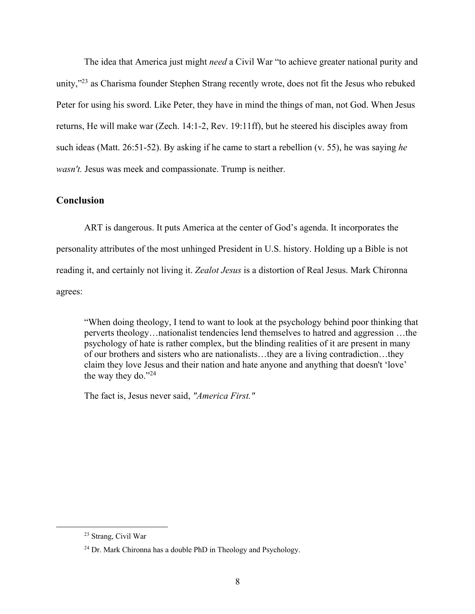The idea that America just might *need* a Civil War "to achieve greater national purity and unity,"<sup>23</sup> as Charisma founder Stephen Strang recently wrote, does not fit the Jesus who rebuked Peter for using his sword. Like Peter, they have in mind the things of man, not God. When Jesus returns, He will make war (Zech. 14:1-2, Rev. 19:11ff), but he steered his disciples away from such ideas (Matt. 26:51-52). By asking if he came to start a rebellion (v. 55), he was saying *he wasn't.* Jesus was meek and compassionate. Trump is neither.

#### **Conclusion**

ART is dangerous. It puts America at the center of God's agenda. It incorporates the personality attributes of the most unhinged President in U.S. history. Holding up a Bible is not reading it, and certainly not living it. *Zealot Jesus* is a distortion of Real Jesus. Mark Chironna agrees:

"When doing theology, I tend to want to look at the psychology behind poor thinking that perverts theology…nationalist tendencies lend themselves to hatred and aggression …the psychology of hate is rather complex, but the blinding realities of it are present in many of our brothers and sisters who are nationalists…they are a living contradiction…they claim they love Jesus and their nation and hate anyone and anything that doesn't 'love' the way they do."24

The fact is, Jesus never said, *"America First."* 

<sup>23</sup> Strang, Civil War

<sup>24</sup> Dr. Mark Chironna has a double PhD in Theology and Psychology.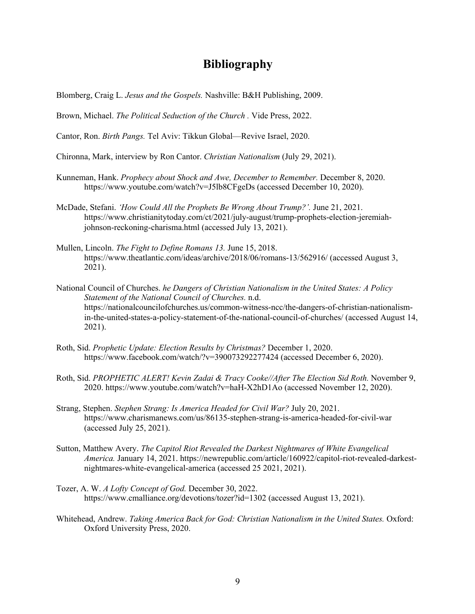## **Bibliography**

Blomberg, Craig L. *Jesus and the Gospels.* Nashville: B&H Publishing, 2009.

Brown, Michael. *The Political Seduction of the Church .* Vide Press, 2022.

- Cantor, Ron. *Birth Pangs.* Tel Aviv: Tikkun Global—Revive Israel, 2020.
- Chironna, Mark, interview by Ron Cantor. *Christian Nationalism* (July 29, 2021).
- Kunneman, Hank. *Prophecy about Shock and Awe, December to Remember.* December 8, 2020. https://www.youtube.com/watch?v=J5lb8CFgeDs (accessed December 10, 2020).
- McDade, Stefani. *'How Could All the Prophets Be Wrong About Trump?'.* June 21, 2021. https://www.christianitytoday.com/ct/2021/july-august/trump-prophets-election-jeremiahjohnson-reckoning-charisma.html (accessed July 13, 2021).
- Mullen, Lincoln. *The Fight to Define Romans 13.* June 15, 2018. https://www.theatlantic.com/ideas/archive/2018/06/romans-13/562916/ (accessed August 3, 2021).
- National Council of Churches. *he Dangers of Christian Nationalism in the United States: A Policy Statement of the National Council of Churches.* n.d. https://nationalcouncilofchurches.us/common-witness-ncc/the-dangers-of-christian-nationalismin-the-united-states-a-policy-statement-of-the-national-council-of-churches/ (accessed August 14, 2021).
- Roth, Sid. *Prophetic Update: Election Results by Christmas?* December 1, 2020. https://www.facebook.com/watch/?v=390073292277424 (accessed December 6, 2020).
- Roth, Sid. *PROPHETIC ALERT! Kevin Zadai & Tracy Cooke//After The Election Sid Roth.* November 9, 2020. https://www.youtube.com/watch?v=haH-X2hD1Ao (accessed November 12, 2020).
- Strang, Stephen. *Stephen Strang: Is America Headed for Civil War?* July 20, 2021. https://www.charismanews.com/us/86135-stephen-strang-is-america-headed-for-civil-war (accessed July 25, 2021).
- Sutton, Matthew Avery. *The Capitol Riot Revealed the Darkest Nightmares of White Evangelical America.* January 14, 2021. https://newrepublic.com/article/160922/capitol-riot-revealed-darkestnightmares-white-evangelical-america (accessed 25 2021, 2021).
- Tozer, A. W. *A Lofty Concept of God.* December 30, 2022. https://www.cmalliance.org/devotions/tozer?id=1302 (accessed August 13, 2021).
- Whitehead, Andrew. *Taking America Back for God: Christian Nationalism in the United States.* Oxford: Oxford University Press, 2020.